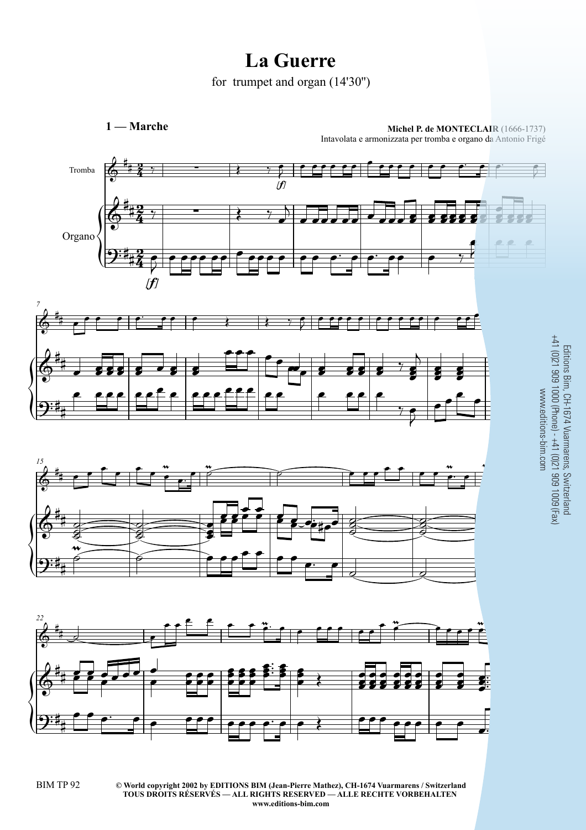## La Guerre

for trumpet and organ  $(14'30'')$ 

 $1 -$ Marche

Michel P. de MONTECLAIR (1666-1737)

Intavolata e armonizzata per tromba e organo da Antonio Frigé



Editions Bim, CH-1674 Vuarmarens, Switzerland<br>+41 (0)21 909 1000 (Phone) - +41 (0)21 909 1009 (Fax)<br>www.editions-bim.com

© World copyright 2002 by EDITIONS BIM (Jean-Pierre Mathez), CH-1674 Vuarmarens / Switzerland TOUS DROITS RÉSERVÉS - ALL RIGHTS RESERVED - ALLE RECHTE VORBEHALTEN www.editions-bim.com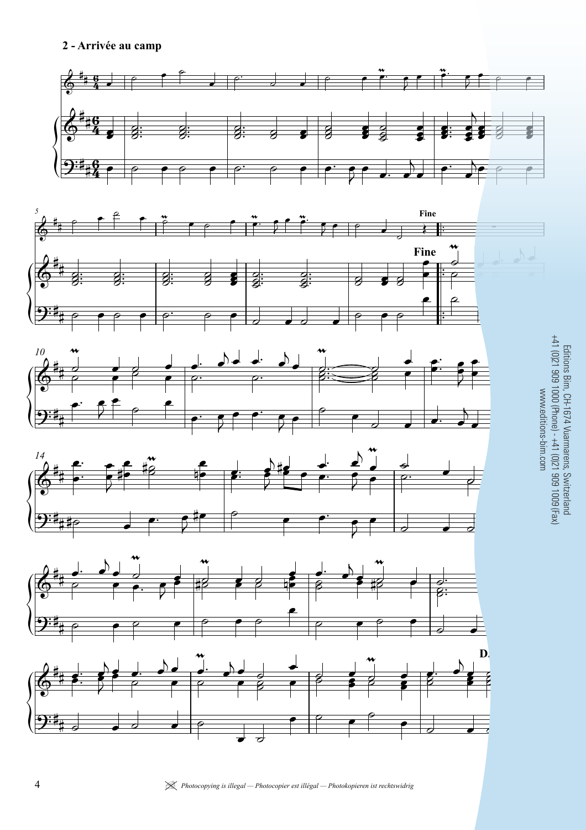## 2 - Arrivée au camp













Editions Bim, CH-1674 Vuarmarens, Switzerland<br>+41 (0)21 909 1000 (Phone) - +41 (0)21 909 1009 (Fax) www.editions-bim.com